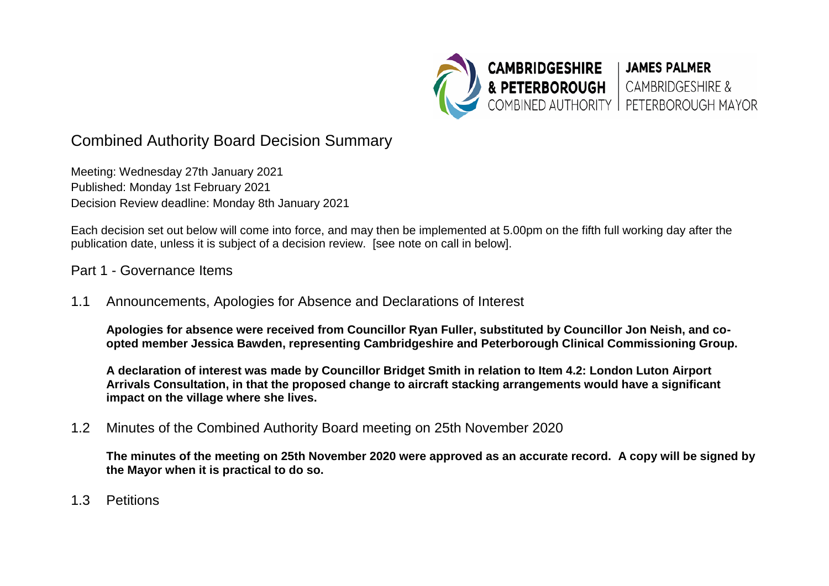

# Combined Authority Board Decision Summary

Meeting: Wednesday 27th January 2021 Published: Monday 1st February 2021 Decision Review deadline: Monday 8th January 2021

Each decision set out below will come into force, and may then be implemented at 5.00pm on the fifth full working day after the publication date, unless it is subject of a decision review. [see note on call in below].

#### Part 1 - Governance Items

1.1 Announcements, Apologies for Absence and Declarations of Interest

**Apologies for absence were received from Councillor Ryan Fuller, substituted by Councillor Jon Neish, and coopted member Jessica Bawden, representing Cambridgeshire and Peterborough Clinical Commissioning Group.** 

**A declaration of interest was made by Councillor Bridget Smith in relation to Item 4.2: London Luton Airport Arrivals Consultation, in that the proposed change to aircraft stacking arrangements would have a significant impact on the village where she lives.** 

1.2 Minutes of the Combined Authority Board meeting on 25th November 2020

**The minutes of the meeting on 25th November 2020 were approved as an accurate record. A copy will be signed by the Mayor when it is practical to do so.** 

1.3 Petitions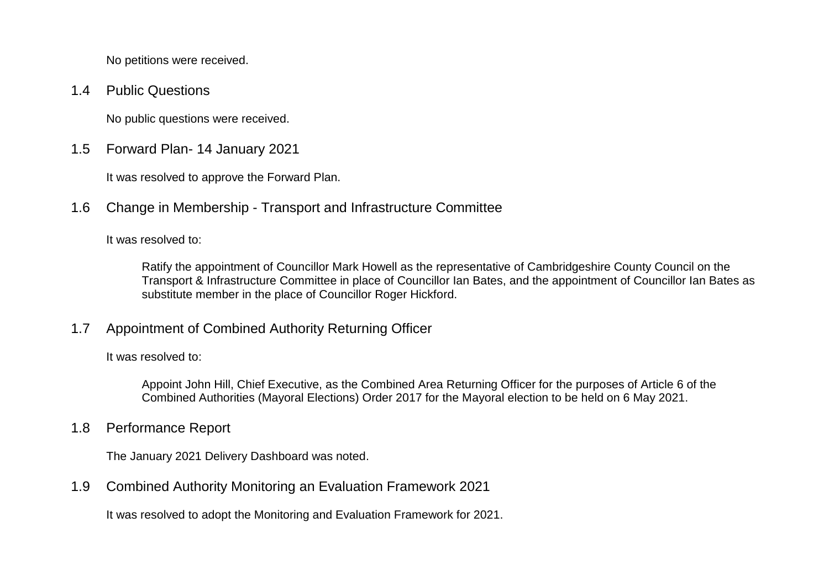No petitions were received.

1.4 Public Questions

No public questions were received.

1.5 Forward Plan- 14 January 2021

It was resolved to approve the Forward Plan.

1.6 Change in Membership - Transport and Infrastructure Committee

It was resolved to:

Ratify the appointment of Councillor Mark Howell as the representative of Cambridgeshire County Council on the Transport & Infrastructure Committee in place of Councillor Ian Bates, and the appointment of Councillor Ian Bates as substitute member in the place of Councillor Roger Hickford.

# 1.7 Appointment of Combined Authority Returning Officer

It was resolved to:

Appoint John Hill, Chief Executive, as the Combined Area Returning Officer for the purposes of Article 6 of the Combined Authorities (Mayoral Elections) Order 2017 for the Mayoral election to be held on 6 May 2021.

1.8 Performance Report

The January 2021 Delivery Dashboard was noted.

1.9 Combined Authority Monitoring an Evaluation Framework 2021

It was resolved to adopt the Monitoring and Evaluation Framework for 2021.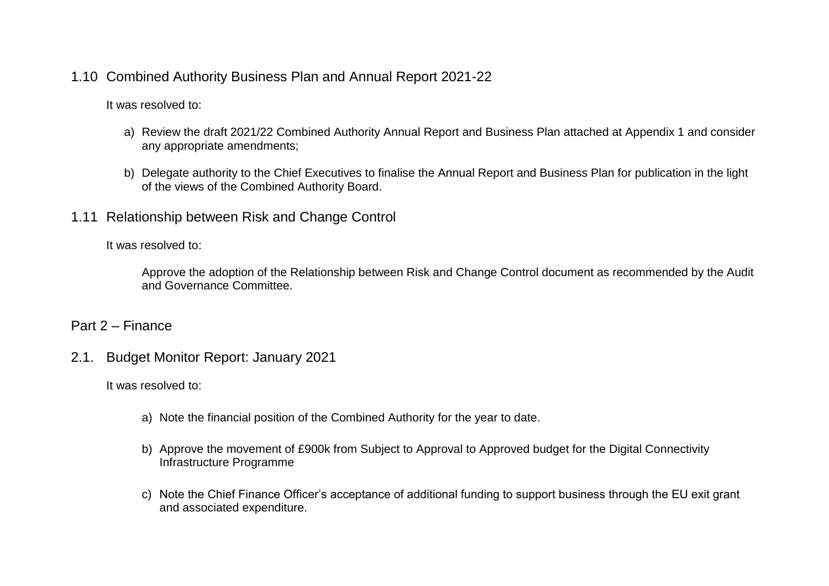#### 1.10 Combined Authority Business Plan and Annual Report 2021-22

It was resolved to:

- a) Review the draft 2021/22 Combined Authority Annual Report and Business Plan attached at Appendix 1 and consider any appropriate amendments;
- b) Delegate authority to the Chief Executives to finalise the Annual Report and Business Plan for publication in the light of the views of the Combined Authority Board.
- 1.11 Relationship between Risk and Change Control

It was resolved to:

Approve the adoption of the Relationship between Risk and Change Control document as recommended by the Audit and Governance Committee.

#### Part 2 – Finance

2.1. Budget Monitor Report: January 2021

It was resolved to:

- a) Note the financial position of the Combined Authority for the year to date.
- b) Approve the movement of £900k from Subject to Approval to Approved budget for the Digital Connectivity Infrastructure Programme
- c) Note the Chief Finance Officer's acceptance of additional funding to support business through the EU exit grant and associated expenditure.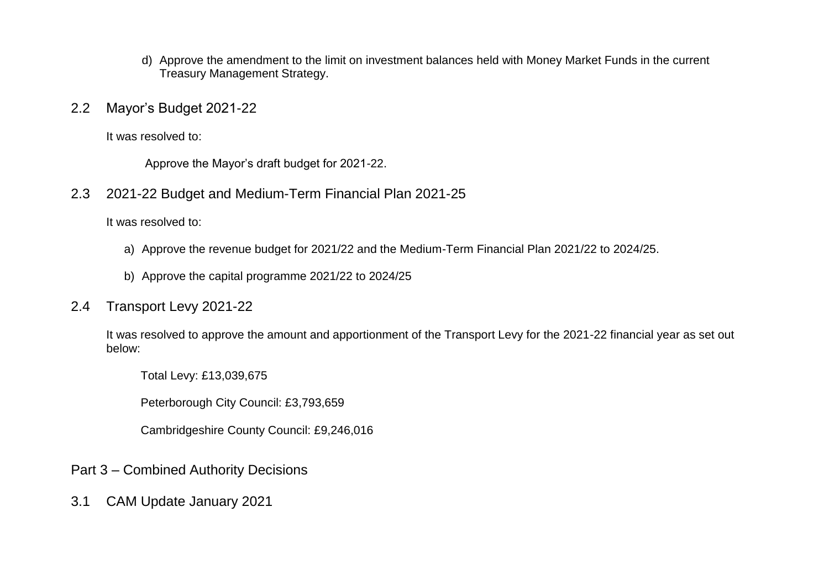- d) Approve the amendment to the limit on investment balances held with Money Market Funds in the current Treasury Management Strategy.
- 2.2 Mayor's Budget 2021-22

It was resolved to:

Approve the Mayor's draft budget for 2021-22.

2.3 2021-22 Budget and Medium-Term Financial Plan 2021-25

It was resolved to:

- a) Approve the revenue budget for 2021/22 and the Medium-Term Financial Plan 2021/22 to 2024/25.
- b) Approve the capital programme 2021/22 to 2024/25

# 2.4 Transport Levy 2021-22

It was resolved to approve the amount and apportionment of the Transport Levy for the 2021-22 financial year as set out below:

Total Levy: £13,039,675

Peterborough City Council: £3,793,659

Cambridgeshire County Council: £9,246,016

# Part 3 – Combined Authority Decisions

3.1 CAM Update January 2021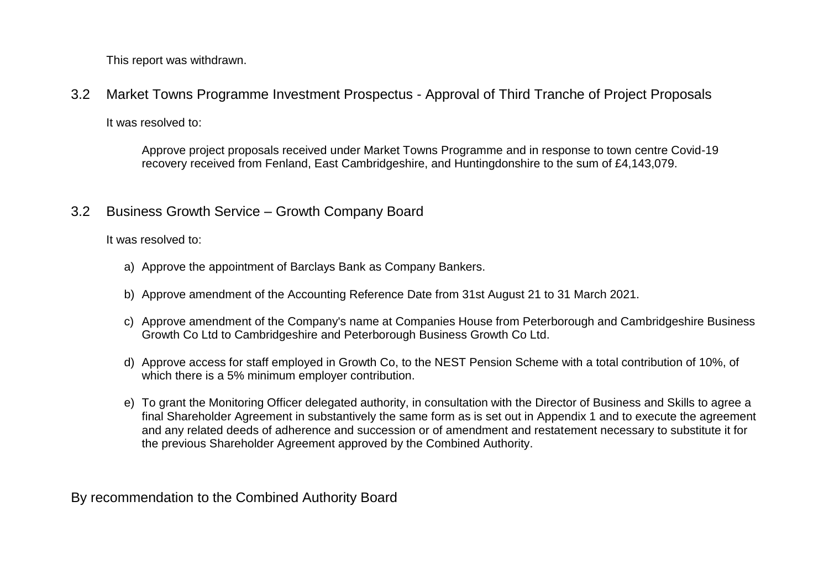This report was withdrawn.

3.2 Market Towns Programme Investment Prospectus - Approval of Third Tranche of Project Proposals

It was resolved to:

Approve project proposals received under Market Towns Programme and in response to town centre Covid-19 recovery received from Fenland, East Cambridgeshire, and Huntingdonshire to the sum of £4,143,079.

# 3.2 Business Growth Service – Growth Company Board

It was resolved to:

- a) Approve the appointment of Barclays Bank as Company Bankers.
- b) Approve amendment of the Accounting Reference Date from 31st August 21 to 31 March 2021.
- c) Approve amendment of the Company's name at Companies House from Peterborough and Cambridgeshire Business Growth Co Ltd to Cambridgeshire and Peterborough Business Growth Co Ltd.
- d) Approve access for staff employed in Growth Co, to the NEST Pension Scheme with a total contribution of 10%, of which there is a 5% minimum employer contribution.
- e) To grant the Monitoring Officer delegated authority, in consultation with the Director of Business and Skills to agree a final Shareholder Agreement in substantively the same form as is set out in Appendix 1 and to execute the agreement and any related deeds of adherence and succession or of amendment and restatement necessary to substitute it for the previous Shareholder Agreement approved by the Combined Authority.

By recommendation to the Combined Authority Board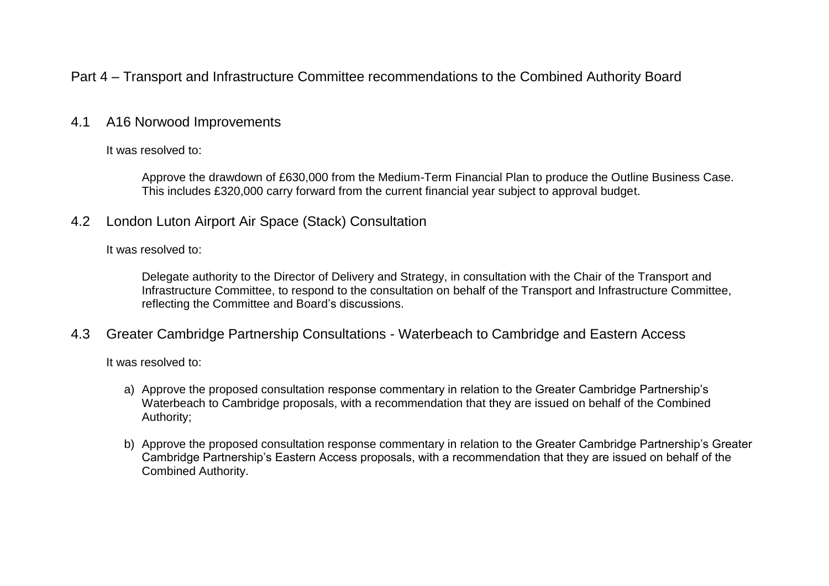# Part 4 – Transport and Infrastructure Committee recommendations to the Combined Authority Board

#### 4.1 A16 Norwood Improvements

It was resolved to:

Approve the drawdown of £630,000 from the Medium-Term Financial Plan to produce the Outline Business Case. This includes £320,000 carry forward from the current financial year subject to approval budget.

4.2 London Luton Airport Air Space (Stack) Consultation

It was resolved to:

Delegate authority to the Director of Delivery and Strategy, in consultation with the Chair of the Transport and Infrastructure Committee, to respond to the consultation on behalf of the Transport and Infrastructure Committee, reflecting the Committee and Board's discussions.

4.3 Greater Cambridge Partnership Consultations - Waterbeach to Cambridge and Eastern Access

It was resolved to:

- a) Approve the proposed consultation response commentary in relation to the Greater Cambridge Partnership's Waterbeach to Cambridge proposals, with a recommendation that they are issued on behalf of the Combined Authority;
- b) Approve the proposed consultation response commentary in relation to the Greater Cambridge Partnership's Greater Cambridge Partnership's Eastern Access proposals, with a recommendation that they are issued on behalf of the Combined Authority.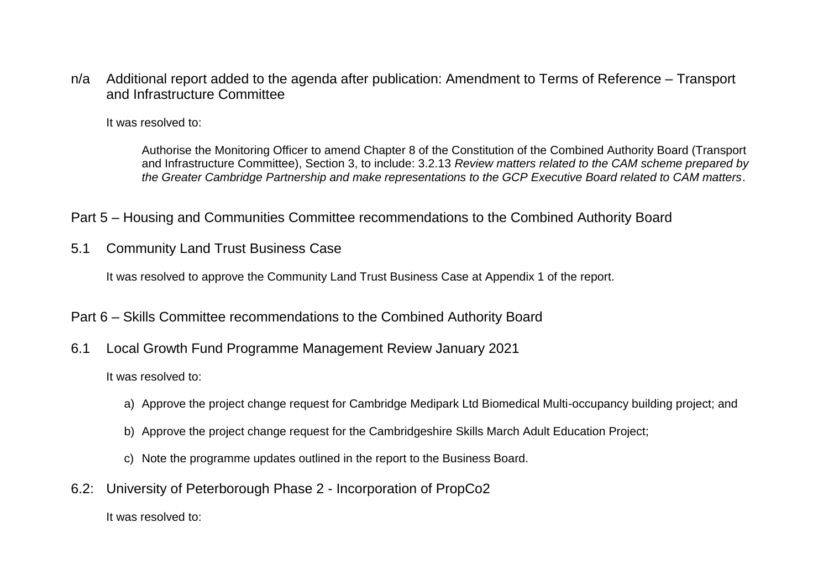n/a Additional report added to the agenda after publication: Amendment to Terms of Reference – Transport and Infrastructure Committee

It was resolved to:

Authorise the Monitoring Officer to amend Chapter 8 of the Constitution of the Combined Authority Board (Transport and Infrastructure Committee), Section 3, to include: 3.2.13 *Review matters related to the CAM scheme prepared by the Greater Cambridge Partnership and make representations to the GCP Executive Board related to CAM matters*.

Part 5 – Housing and Communities Committee recommendations to the Combined Authority Board

5.1 Community Land Trust Business Case

It was resolved to approve the Community Land Trust Business Case at Appendix 1 of the report.

- Part 6 Skills Committee recommendations to the Combined Authority Board
- 6.1 Local Growth Fund Programme Management Review January 2021

It was resolved to:

- a) Approve the project change request for Cambridge Medipark Ltd Biomedical Multi-occupancy building project; and
- b) Approve the project change request for the Cambridgeshire Skills March Adult Education Project;
- c) Note the programme updates outlined in the report to the Business Board.
- 6.2: University of Peterborough Phase 2 Incorporation of PropCo2

It was resolved to: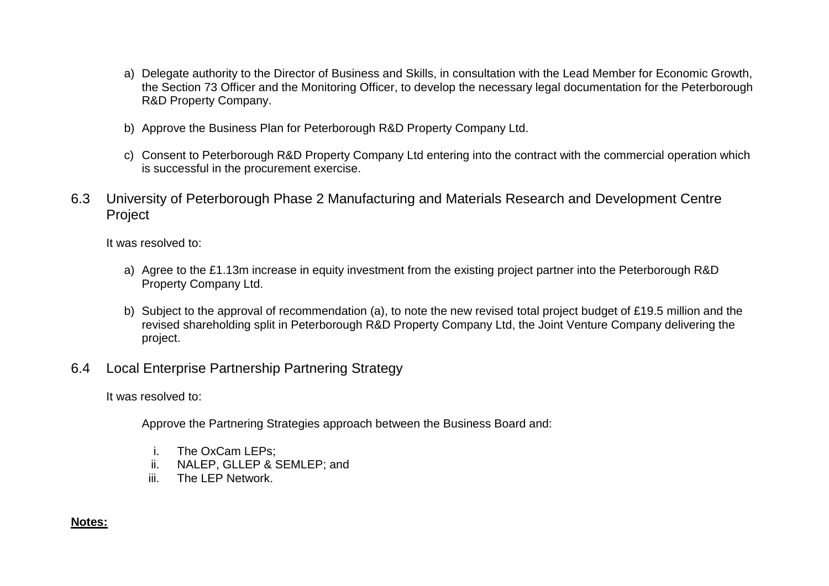- a) Delegate authority to the Director of Business and Skills, in consultation with the Lead Member for Economic Growth, the Section 73 Officer and the Monitoring Officer, to develop the necessary legal documentation for the Peterborough R&D Property Company.
- b) Approve the Business Plan for Peterborough R&D Property Company Ltd.
- c) Consent to Peterborough R&D Property Company Ltd entering into the contract with the commercial operation which is successful in the procurement exercise.
- 6.3 University of Peterborough Phase 2 Manufacturing and Materials Research and Development Centre Project

It was resolved to:

- a) Agree to the £1.13m increase in equity investment from the existing project partner into the Peterborough R&D Property Company Ltd.
- b) Subject to the approval of recommendation (a), to note the new revised total project budget of £19.5 million and the revised shareholding split in Peterborough R&D Property Company Ltd, the Joint Venture Company delivering the project.
- 6.4 Local Enterprise Partnership Partnering Strategy

It was resolved to:

Approve the Partnering Strategies approach between the Business Board and:

- i. The OxCam LEPs;
- ii. NALEP, GLLEP & SEMLEP; and
- iii. The LEP Network.

#### **Notes:**